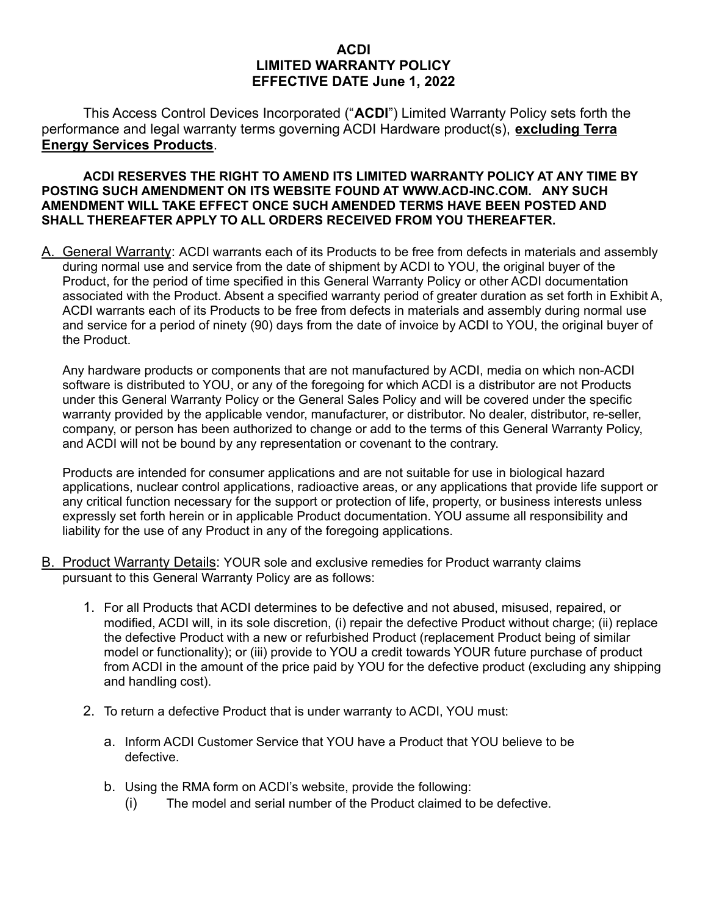## **ACDI LIMITED WARRANTY POLICY EFFECTIVE DATE June 1, 2022**

This Access Control Devices Incorporated ("**ACDI**") Limited Warranty Policy sets forth the performance and legal warranty terms governing ACDI Hardware product(s), **excluding Terra Energy Services Products**.

## **ACDI RESERVES THE RIGHT TO AMEND ITS LIMITED WARRANTY POLICY AT ANY TIME BY POSTING SUCH AMENDMENT ON ITS WEBSITE FOUND AT WWW.ACD-INC.COM. ANY SUCH AMENDMENT WILL TAKE EFFECT ONCE SUCH AMENDED TERMS HAVE BEEN POSTED AND SHALL THEREAFTER APPLY TO ALL ORDERS RECEIVED FROM YOU THEREAFTER.**

A. General Warranty: ACDI warrants each of its Products to be free from defects in materials and assembly during normal use and service from the date of shipment by ACDI to YOU, the original buyer of the Product, for the period of time specified in this General Warranty Policy or other ACDI documentation associated with the Product. Absent a specified warranty period of greater duration as set forth in Exhibit A, ACDI warrants each of its Products to be free from defects in materials and assembly during normal use and service for a period of ninety (90) days from the date of invoice by ACDI to YOU, the original buyer of the Product.

Any hardware products or components that are not manufactured by ACDI, media on which non-ACDI software is distributed to YOU, or any of the foregoing for which ACDI is a distributor are not Products under this General Warranty Policy or the General Sales Policy and will be covered under the specific warranty provided by the applicable vendor, manufacturer, or distributor. No dealer, distributor, re-seller, company, or person has been authorized to change or add to the terms of this General Warranty Policy, and ACDI will not be bound by any representation or covenant to the contrary.

Products are intended for consumer applications and are not suitable for use in biological hazard applications, nuclear control applications, radioactive areas, or any applications that provide life support or any critical function necessary for the support or protection of life, property, or business interests unless expressly set forth herein or in applicable Product documentation. YOU assume all responsibility and liability for the use of any Product in any of the foregoing applications.

- B. Product Warranty Details: YOUR sole and exclusive remedies for Product warranty claims pursuant to this General Warranty Policy are as follows:
	- 1. For all Products that ACDI determines to be defective and not abused, misused, repaired, or modified, ACDI will, in its sole discretion, (i) repair the defective Product without charge; (ii) replace the defective Product with a new or refurbished Product (replacement Product being of similar model or functionality); or (iii) provide to YOU a credit towards YOUR future purchase of product from ACDI in the amount of the price paid by YOU for the defective product (excluding any shipping and handling cost).
	- 2. To return a defective Product that is under warranty to ACDI, YOU must:
		- a. Inform ACDI Customer Service that YOU have a Product that YOU believe to be defective.
		- b. Using the RMA form on ACDI's website, provide the following:
			- (i) The model and serial number of the Product claimed to be defective.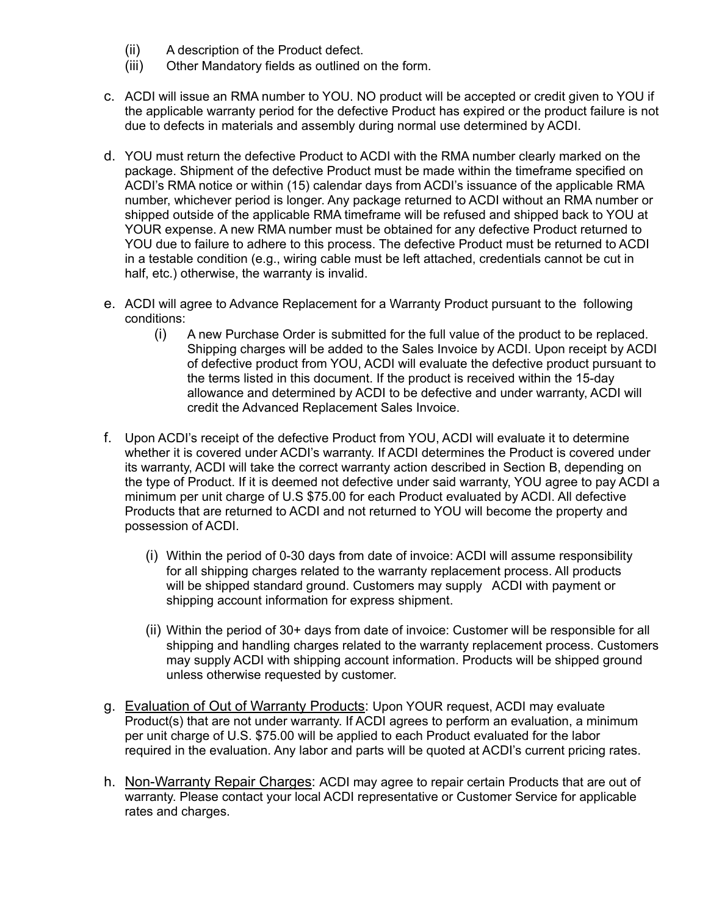- (ii) A description of the Product defect.
- (iii) Other Mandatory fields as outlined on the form.
- c. ACDI will issue an RMA number to YOU. NO product will be accepted or credit given to YOU if the applicable warranty period for the defective Product has expired or the product failure is not due to defects in materials and assembly during normal use determined by ACDI.
- d. YOU must return the defective Product to ACDI with the RMA number clearly marked on the package. Shipment of the defective Product must be made within the timeframe specified on ACDI's RMA notice or within (15) calendar days from ACDI's issuance of the applicable RMA number, whichever period is longer. Any package returned to ACDI without an RMA number or shipped outside of the applicable RMA timeframe will be refused and shipped back to YOU at YOUR expense. A new RMA number must be obtained for any defective Product returned to YOU due to failure to adhere to this process. The defective Product must be returned to ACDI in a testable condition (e.g., wiring cable must be left attached, credentials cannot be cut in half, etc.) otherwise, the warranty is invalid.
- e. ACDI will agree to Advance Replacement for a Warranty Product pursuant to the following conditions:
	- (i) A new Purchase Order is submitted for the full value of the product to be replaced. Shipping charges will be added to the Sales Invoice by ACDI. Upon receipt by ACDI of defective product from YOU, ACDI will evaluate the defective product pursuant to the terms listed in this document. If the product is received within the 15-day allowance and determined by ACDI to be defective and under warranty, ACDI will credit the Advanced Replacement Sales Invoice.
- f. Upon ACDI's receipt of the defective Product from YOU, ACDI will evaluate it to determine whether it is covered under ACDI's warranty. If ACDI determines the Product is covered under its warranty, ACDI will take the correct warranty action described in Section B, depending on the type of Product. If it is deemed not defective under said warranty, YOU agree to pay ACDI a minimum per unit charge of U.S \$75.00 for each Product evaluated by ACDI. All defective Products that are returned to ACDI and not returned to YOU will become the property and possession of ACDI.
	- (i) Within the period of 0-30 days from date of invoice: ACDI will assume responsibility for all shipping charges related to the warranty replacement process. All products will be shipped standard ground. Customers may supply ACDI with payment or shipping account information for express shipment.
	- (ii) Within the period of 30+ days from date of invoice: Customer will be responsible for all shipping and handling charges related to the warranty replacement process. Customers may supply ACDI with shipping account information. Products will be shipped ground unless otherwise requested by customer.
- g. Evaluation of Out of Warranty Products: Upon YOUR request, ACDI may evaluate Product(s) that are not under warranty. If ACDI agrees to perform an evaluation, a minimum per unit charge of U.S. \$75.00 will be applied to each Product evaluated for the labor required in the evaluation. Any labor and parts will be quoted at ACDI's current pricing rates.
- h. Non-Warranty Repair Charges: ACDI may agree to repair certain Products that are out of warranty. Please contact your local ACDI representative or Customer Service for applicable rates and charges.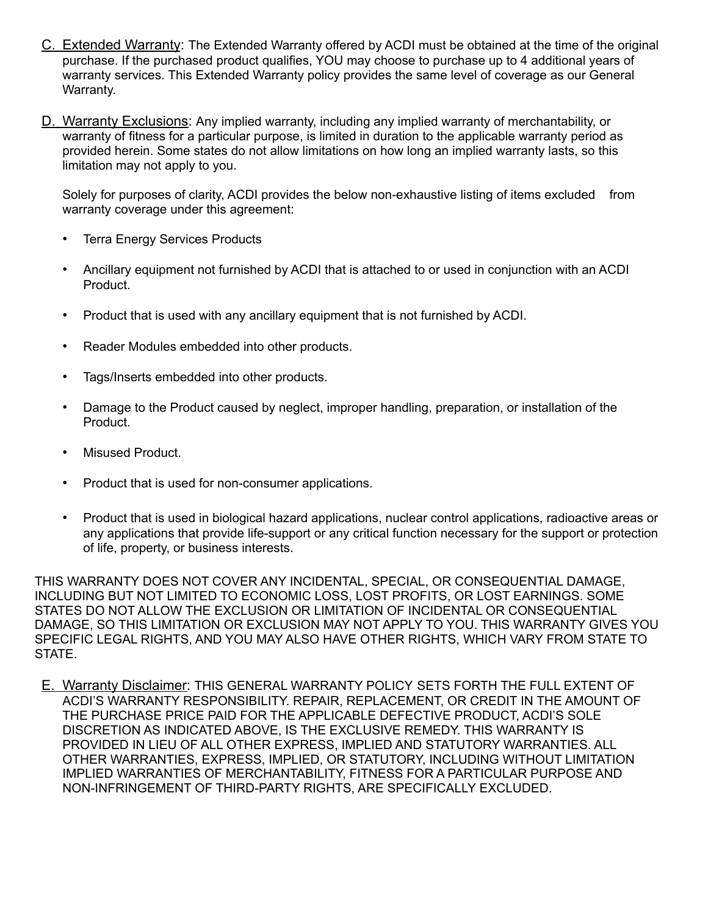- C. Extended Warranty: The Extended Warranty offered by ACDI must be obtained at the time of the original purchase. If the purchased product qualifies, YOU may choose to purchase up to 4 additional years of warranty services. This Extended Warranty policy provides the same level of coverage as our General Warranty.
- D. Warranty Exclusions: Any implied warranty, including any implied warranty of merchantability, or warranty of fitness for a particular purpose, is limited in duration to the applicable warranty period as provided herein. Some states do not allow limitations on how long an implied warranty lasts, so this limitation may not apply to you.

Solely for purposes of clarity, ACDI provides the below non-exhaustive listing of items excluded from warranty coverage under this agreement:

- **Terra Energy Services Products**
- Ancillary equipment not furnished by ACDI that is attached to or used in conjunction with an ACDI Product.
- Product that is used with any ancillary equipment that is not furnished by ACDI.
- Reader Modules embedded into other products.
- Tags/Inserts embedded into other products.
- Damage to the Product caused by neglect, improper handling, preparation, or installation of the Product.
- Misused Product.
- Product that is used for non-consumer applications.
- Product that is used in biological hazard applications, nuclear control applications, radioactive areas or any applications that provide life-support or any critical function necessary for the support or protection of life, property, or business interests.

THIS WARRANTY DOES NOT COVER ANY INCIDENTAL, SPECIAL, OR CONSEQUENTIAL DAMAGE, INCLUDING BUT NOT LIMITED TO ECONOMIC LOSS, LOST PROFITS, OR LOST EARNINGS. SOME STATES DO NOT ALLOW THE EXCLUSION OR LIMITATION OF INCIDENTAL OR CONSEQUENTIAL DAMAGE, SO THIS LIMITATION OR EXCLUSION MAY NOT APPLY TO YOU. THIS WARRANTY GIVES YOU SPECIFIC LEGAL RIGHTS, AND YOU MAY ALSO HAVE OTHER RIGHTS, WHICH VARY FROM STATE TO STATE.

E. Warranty Disclaimer: THIS GENERAL WARRANTY POLICY SETS FORTH THE FULL EXTENT OF ACDI'S WARRANTY RESPONSIBILITY. REPAIR, REPLACEMENT, OR CREDIT IN THE AMOUNT OF THE PURCHASE PRICE PAID FOR THE APPLICABLE DEFECTIVE PRODUCT, ACDI'S SOLE DISCRETION AS INDICATED ABOVE, IS THE EXCLUSIVE REMEDY. THIS WARRANTY IS PROVIDED IN LIEU OF ALL OTHER EXPRESS, IMPLIED AND STATUTORY WARRANTIES. ALL OTHER WARRANTIES, EXPRESS, IMPLIED, OR STATUTORY, INCLUDING WITHOUT LIMITATION IMPLIED WARRANTIES OF MERCHANTABILITY, FITNESS FOR A PARTICULAR PURPOSE AND NON-INFRINGEMENT OF THIRD-PARTY RIGHTS, ARE SPECIFICALLY EXCLUDED.